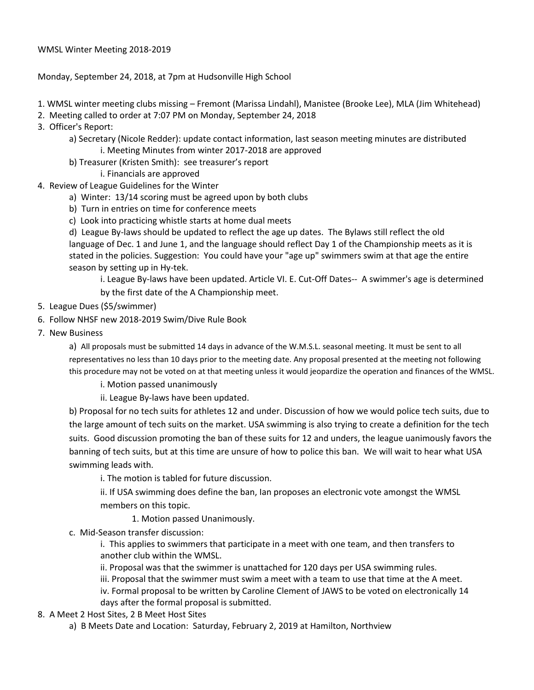## Monday, September 24, 2018, at 7pm at Hudsonville High School

- 1. WMSL winter meeting clubs missing Fremont (Marissa Lindahl), Manistee (Brooke Lee), MLA (Jim Whitehead)
- 2. Meeting called to order at 7:07 PM on Monday, September 24, 2018
- 3. Officer's Report:
	- a) Secretary (Nicole Redder): update contact information, last season meeting minutes are distributed
		- i. Meeting Minutes from winter 2017-2018 are approved
	- b) Treasurer (Kristen Smith): see treasurer's report
		- i. Financials are approved
- 4. Review of League Guidelines for the Winter
	- a) Winter: 13/14 scoring must be agreed upon by both clubs
	- b) Turn in entries on time for conference meets
	- c) Look into practicing whistle starts at home dual meets

d) League By-laws should be updated to reflect the age up dates. The Bylaws still reflect the old language of Dec. 1 and June 1, and the language should reflect Day 1 of the Championship meets as it is stated in the policies. Suggestion: You could have your "age up" swimmers swim at that age the entire season by setting up in Hy-tek.

i. League By-laws have been updated. Article VI. E. Cut-Off Dates-- A swimmer's age is determined

by the first date of the A Championship meet.

- 5. League Dues (\$5/swimmer)
- 6. Follow NHSF new 2018-2019 Swim/Dive Rule Book
- 7. New Business

a) All proposals must be submitted 14 days in advance of the W.M.S.L. seasonal meeting. It must be sent to all representatives no less than 10 days prior to the meeting date. Any proposal presented at the meeting not following this procedure may not be voted on at that meeting unless it would jeopardize the operation and finances of the WMSL.

- i. Motion passed unanimously
- ii. League By-laws have been updated.

b) Proposal for no tech suits for athletes 12 and under. Discussion of how we would police tech suits, due to the large amount of tech suits on the market. USA swimming is also trying to create a definition for the tech suits. Good discussion promoting the ban of these suits for 12 and unders, the league uanimously favors the banning of tech suits, but at this time are unsure of how to police this ban. We will wait to hear what USA swimming leads with.

i. The motion is tabled for future discussion.

ii. If USA swimming does define the ban, Ian proposes an electronic vote amongst the WMSL members on this topic.

1. Motion passed Unanimously.

c. Mid-Season transfer discussion:

i. This applies to swimmers that participate in a meet with one team, and then transfers to another club within the WMSL.

ii. Proposal was that the swimmer is unattached for 120 days per USA swimming rules.

iii. Proposal that the swimmer must swim a meet with a team to use that time at the A meet.

iv. Formal proposal to be written by Caroline Clement of JAWS to be voted on electronically 14 days after the formal proposal is submitted.

- 8. A Meet 2 Host Sites, 2 B Meet Host Sites
	- a) B Meets Date and Location: Saturday, February 2, 2019 at Hamilton, Northview